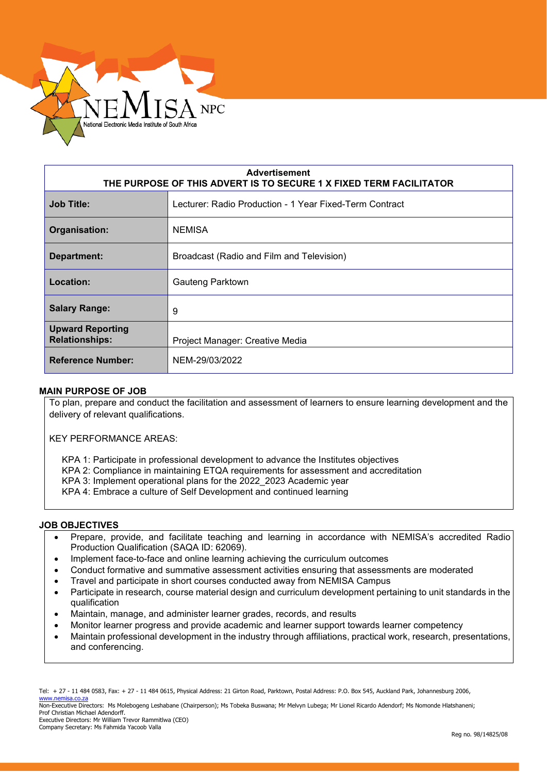

| <b>Advertisement</b><br>THE PURPOSE OF THIS ADVERT IS TO SECURE 1 X FIXED TERM FACILITATOR |                                                         |  |
|--------------------------------------------------------------------------------------------|---------------------------------------------------------|--|
| <b>Job Title:</b>                                                                          | Lecturer: Radio Production - 1 Year Fixed-Term Contract |  |
| Organisation:                                                                              | <b>NEMISA</b>                                           |  |
| Department:                                                                                | Broadcast (Radio and Film and Television)               |  |
| Location:                                                                                  | Gauteng Parktown                                        |  |
| <b>Salary Range:</b>                                                                       | 9                                                       |  |
| <b>Upward Reporting</b><br><b>Relationships:</b>                                           | Project Manager: Creative Media                         |  |
| <b>Reference Number:</b>                                                                   | NEM-29/03/2022                                          |  |

### **MAIN PURPOSE OF JOB**

To plan, prepare and conduct the facilitation and assessment of learners to ensure learning development and the delivery of relevant qualifications.

KEY PERFORMANCE AREAS:

KPA 1: Participate in professional development to advance the Institutes objectives

- KPA 2: Compliance in maintaining ETQA requirements for assessment and accreditation
- KPA 3: Implement operational plans for the 2022\_2023 Academic year
- KPA 4: Embrace a culture of Self Development and continued learning

#### **JOB OBJECTIVES**

- Prepare, provide, and facilitate teaching and learning in accordance with NEMISA's accredited Radio Production Qualification (SAQA ID: 62069).
- Implement face-to-face and online learning achieving the curriculum outcomes
- Conduct formative and summative assessment activities ensuring that assessments are moderated
- Travel and participate in short courses conducted away from NEMISA Campus
- Participate in research, course material design and curriculum development pertaining to unit standards in the qualification
- Maintain, manage, and administer learner grades, records, and results
- Monitor learner progress and provide academic and learner support towards learner competency
- Maintain professional development in the industry through affiliations, practical work, research, presentations, and conferencing.

Non-Executive Directors: Ms Molebogeng Leshabane (Chairperson); Ms Tobeka Buswana; Mr Melvyn Lubega; Mr Lionel Ricardo Adendorf; Ms Nomonde Hlatshaneni; Prof Christian Michael Adendorff.

Executive Directors: Mr William Trevor Rammitlwa (CEO) Company Secretary: Ms Fahmida Yacoob Valla

Tel: + 27 - 11 484 0583, Fax: + 27 - 11 484 0615, Physical Address: 21 Girton Road, Parktown, Postal Address: P.O. Box 545, Auckland Park, Johannesburg 2006, [www.nemisa.co.za](http://www.nemisa.co.za/)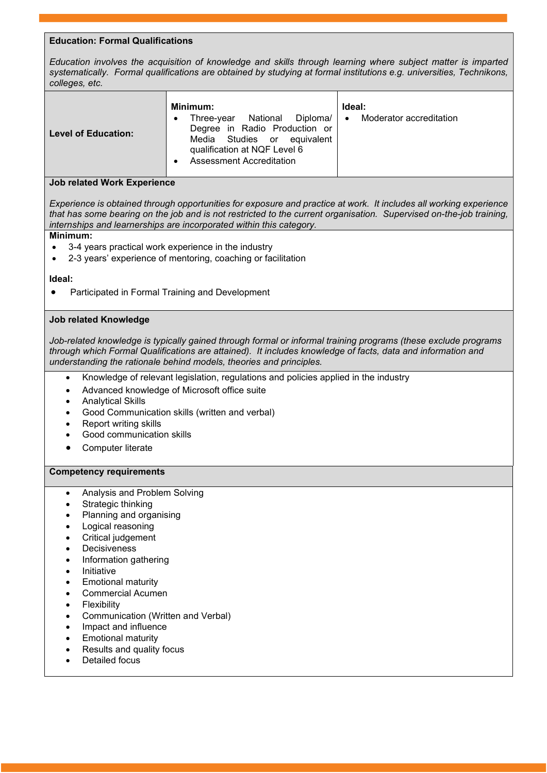## **Education: Formal Qualifications**

*Education involves the acquisition of knowledge and skills through learning where subject matter is imparted systematically. Formal qualifications are obtained by studying at formal institutions e.g. universities, Technikons, colleges, etc.*

| <b>Level of Education:</b> | Minimum:<br>National Diploma/  <br>Three-vear<br>Degree in Radio Production or<br>Media Studies or equivalent<br>qualification at NQF Level 6<br>Assessment Accreditation | Ideal:<br>Moderator accreditation<br>$\bullet$ |
|----------------------------|---------------------------------------------------------------------------------------------------------------------------------------------------------------------------|------------------------------------------------|
|----------------------------|---------------------------------------------------------------------------------------------------------------------------------------------------------------------------|------------------------------------------------|

### **Job related Work Experience**

*Experience is obtained through opportunities for exposure and practice at work. It includes all working experience that has some bearing on the job and is not restricted to the current organisation. Supervised on-the-job training, internships and learnerships are incorporated within this category.*

# **Minimum:**

- 3-4 years practical work experience in the industry
- 2-3 years' experience of mentoring, coaching or facilitation

### **Ideal:**

• Participated in Formal Training and Development

### **Job related Knowledge**

*Job-related knowledge is typically gained through formal or informal training programs (these exclude programs through which Formal Qualifications are attained). It includes knowledge of facts, data and information and understanding the rationale behind models, theories and principles.*

- Knowledge of relevant legislation, regulations and policies applied in the industry
- Advanced knowledge of Microsoft office suite
- Analytical Skills
- Good Communication skills (written and verbal)
- **Report writing skills**
- Good communication skills
- Computer literate

### **Competency requirements**

- Analysis and Problem Solving
- Strategic thinking
- Planning and organising
- Logical reasoning
- Critical judgement
- **Decisiveness**
- Information gathering
- Initiative
- Emotional maturity
- Commercial Acumen
- **Flexibility**
- Communication (Written and Verbal)
- Impact and influence
- Emotional maturity
- Results and quality focus
- Detailed focus